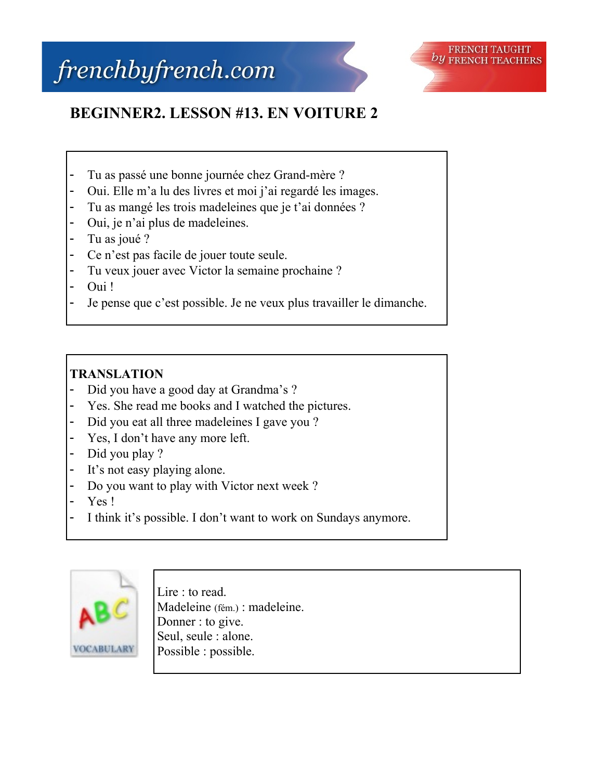# frenchbyfrench.com



## **BEGINNER2. LESSON #13. EN VOITURE 2**

- Tu as passé une bonne journée chez Grand-mère ?
- Oui. Elle m'a lu des livres et moi j'ai regardé les images.
- Tu as mangé les trois madeleines que je t'ai données ?
- Oui, je n'ai plus de madeleines.
- Tu as joué ?
- Ce n'est pas facile de jouer toute seule.
- Tu veux jouer avec Victor la semaine prochaine ?
- Oui!
- Je pense que c'est possible. Je ne veux plus travailler le dimanche.

### **TRANSLATION**

- Did you have a good day at Grandma's ?
- Yes. She read me books and I watched the pictures.
- Did you eat all three madeleines I gave you ?
- Yes, I don't have any more left.
- Did you play ?
- It's not easy playing alone.
- Do you want to play with Victor next week ?
- Yes !
- I think it's possible. I don't want to work on Sundays anymore.



Lire : to read. Madeleine (fém.) : madeleine. Donner : to give. Seul, seule : alone. Possible : possible.